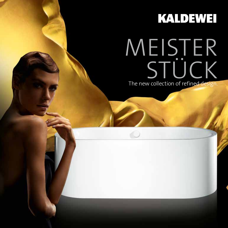## **KALDEWEI**

# The new collection of refined design. MEISTER **STÜCK**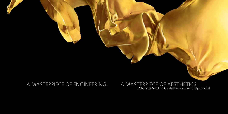### A MASTERPIECE OF ENGINEERING. A MASTERPIECE OF AESTHETICS

Meisterstück Collection - free-standing, seamless and fully enamelled.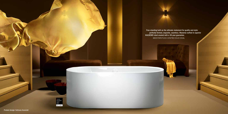Free-standing bath as the ultimate statement for quality and style: perfectly formed, exquisite, seamless. Masterly crafted in superior KALDEWEI steel enamel with a 30-year guarantee. MEISTERSTÜCK CENTRO DUO OVAL

interior<br>innovation<br>award<br>2014 Best of Best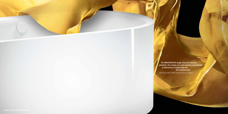The MEISTERSTÜCK design strives for absolute perfection. The outsides are nearly perfectly perpendicular. A masterpiece of engineering and **fine craftsmanship. fine craftsmanship.** DESIGN AND PRECISION EXCELLENCE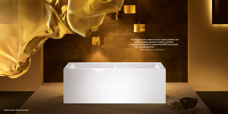Free-Standing bath created for today's leading architects and interior designers: geometric, seamless, aesthetic. A masterpiece of harmony in exclusive KALDEWEI steel enamel with a 30-year guarantee. MEISTERSTÜCK CONODUO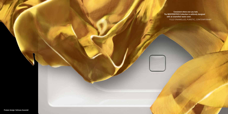**Consistent where ever you look.** The MEISTERSTÜCK Collection is uniformly designed with an enamelled waste cover. FULLY ENAMELLED, PURISTIC, CONTEMPORARY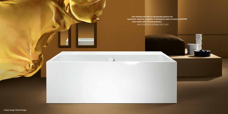Free-standing bath with an exceptionally spacious rim: asymmetric, ergonomic, seamless. A masterpiece made of precious KALDEWEI steel enamel with a 30-year guarantee. MEISTERSTÜCK ASYMMETRIC DUO

 $\overline{C}$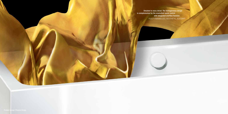**Example 20 Detailed in every detail. The homogeneous design**  is complemented by the enamelled waste control with integrated overflow function. FULLY ENAMELLED, AESTHETIC, ELEGANT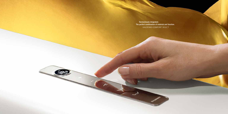Harmoniously integrated. The perfect combination of material and function. KALDEWEI COMFORT SELECT

 $\rightarrow$ 

≋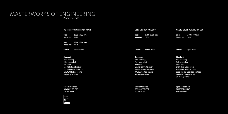### MASTERWORKS OF ENGINEERING Product details.

MEISTERSTÜCK CONODUO Size: 1700 x 750 mm Model no: 1732 Colour: Alpine White Standard: Free-standing Fully enamelled Seamless Enamelled waste cover Enamelled overflow knob KALDEWEI steel enamel 30-year guarantee Special features: COMFORT SELECT SOUND WAVE MEISTERSTÜCK ASYMMETRIC DUO Size: 1700 x 800 mm Model no: 1740 Colour: Alpine White Standard: Free-standing Fully enamelled Seamless Enamelled waste cover Enamelled overflow knob Spacious rim also ideal for taps KALDEWEI steel enamel 30-year guarantee Special features: COMFORT SELECT MEISTERSTÜCK CENTRO DUO OVAL Size: 1700 x 750 mm Model no: 1127 Size: 1800 x 800 mm Model no: 1128 Colour: Alpine White Standard: Free-standing Fully enamelled Seamless Enamelled waste cover Enamelled overflow knob KALDEWEI steel enamel 30-year guarantee Special features: COMFORT SELECT SOUND WAVE

 $\begin{array}{|l|}\n \hline \text{interior} \\
\hline \text{innovation} \\
\text{award} \\
\hline \text{2014}\n \end{array}$ Best of Best SOUND WAVE